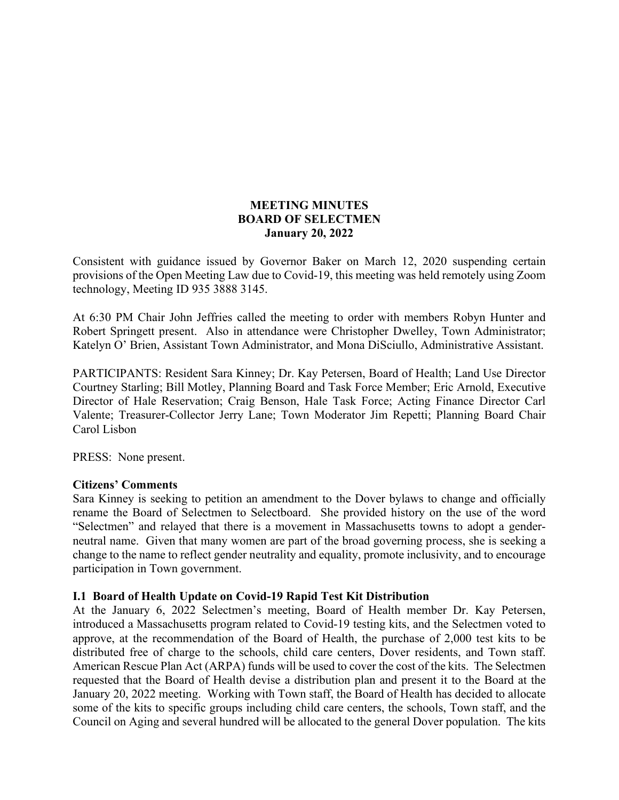# **MEETING MINUTES BOARD OF SELECTMEN January 20, 2022**

Consistent with guidance issued by Governor Baker on March 12, 2020 suspending certain provisions of the Open Meeting Law due to Covid-19, this meeting was held remotely using Zoom technology, Meeting ID 935 3888 3145.

At 6:30 PM Chair John Jeffries called the meeting to order with members Robyn Hunter and Robert Springett present. Also in attendance were Christopher Dwelley, Town Administrator; Katelyn O' Brien, Assistant Town Administrator, and Mona DiSciullo, Administrative Assistant.

PARTICIPANTS: Resident Sara Kinney; Dr. Kay Petersen, Board of Health; Land Use Director Courtney Starling; Bill Motley, Planning Board and Task Force Member; Eric Arnold, Executive Director of Hale Reservation; Craig Benson, Hale Task Force; Acting Finance Director Carl Valente; Treasurer-Collector Jerry Lane; Town Moderator Jim Repetti; Planning Board Chair Carol Lisbon

PRESS: None present.

#### **Citizens' Comments**

Sara Kinney is seeking to petition an amendment to the Dover bylaws to change and officially rename the Board of Selectmen to Selectboard. She provided history on the use of the word "Selectmen" and relayed that there is a movement in Massachusetts towns to adopt a genderneutral name. Given that many women are part of the broad governing process, she is seeking a change to the name to reflect gender neutrality and equality, promote inclusivity, and to encourage participation in Town government.

#### **I.1 Board of Health Update on Covid-19 Rapid Test Kit Distribution**

At the January 6, 2022 Selectmen's meeting, Board of Health member Dr. Kay Petersen, introduced a Massachusetts program related to Covid-19 testing kits, and the Selectmen voted to approve, at the recommendation of the Board of Health, the purchase of 2,000 test kits to be distributed free of charge to the schools, child care centers, Dover residents, and Town staff. American Rescue Plan Act (ARPA) funds will be used to cover the cost of the kits. The Selectmen requested that the Board of Health devise a distribution plan and present it to the Board at the January 20, 2022 meeting. Working with Town staff, the Board of Health has decided to allocate some of the kits to specific groups including child care centers, the schools, Town staff, and the Council on Aging and several hundred will be allocated to the general Dover population. The kits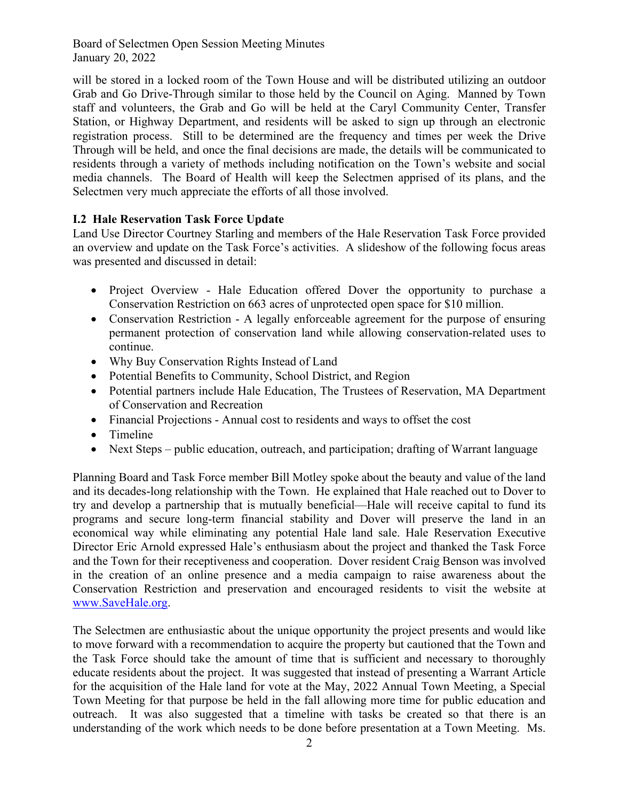will be stored in a locked room of the Town House and will be distributed utilizing an outdoor Grab and Go Drive-Through similar to those held by the Council on Aging. Manned by Town staff and volunteers, the Grab and Go will be held at the Caryl Community Center, Transfer Station, or Highway Department, and residents will be asked to sign up through an electronic registration process. Still to be determined are the frequency and times per week the Drive Through will be held, and once the final decisions are made, the details will be communicated to residents through a variety of methods including notification on the Town's website and social media channels. The Board of Health will keep the Selectmen apprised of its plans, and the Selectmen very much appreciate the efforts of all those involved.

# **I.2 Hale Reservation Task Force Update**

Land Use Director Courtney Starling and members of the Hale Reservation Task Force provided an overview and update on the Task Force's activities. A slideshow of the following focus areas was presented and discussed in detail:

- Project Overview Hale Education offered Dover the opportunity to purchase a Conservation Restriction on 663 acres of unprotected open space for \$10 million.
- Conservation Restriction A legally enforceable agreement for the purpose of ensuring permanent protection of conservation land while allowing conservation-related uses to continue.
- Why Buy Conservation Rights Instead of Land
- Potential Benefits to Community, School District, and Region
- Potential partners include Hale Education, The Trustees of Reservation, MA Department of Conservation and Recreation
- Financial Projections Annual cost to residents and ways to offset the cost
- Timeline
- Next Steps public education, outreach, and participation; drafting of Warrant language

Planning Board and Task Force member Bill Motley spoke about the beauty and value of the land and its decades-long relationship with the Town. He explained that Hale reached out to Dover to try and develop a partnership that is mutually beneficial—Hale will receive capital to fund its programs and secure long-term financial stability and Dover will preserve the land in an economical way while eliminating any potential Hale land sale. Hale Reservation Executive Director Eric Arnold expressed Hale's enthusiasm about the project and thanked the Task Force and the Town for their receptiveness and cooperation. Dover resident Craig Benson was involved in the creation of an online presence and a media campaign to raise awareness about the Conservation Restriction and preservation and encouraged residents to visit the website at [www.SaveHale.org.](http://www.savehale.org/)

The Selectmen are enthusiastic about the unique opportunity the project presents and would like to move forward with a recommendation to acquire the property but cautioned that the Town and the Task Force should take the amount of time that is sufficient and necessary to thoroughly educate residents about the project. It was suggested that instead of presenting a Warrant Article for the acquisition of the Hale land for vote at the May, 2022 Annual Town Meeting, a Special Town Meeting for that purpose be held in the fall allowing more time for public education and outreach. It was also suggested that a timeline with tasks be created so that there is an understanding of the work which needs to be done before presentation at a Town Meeting. Ms.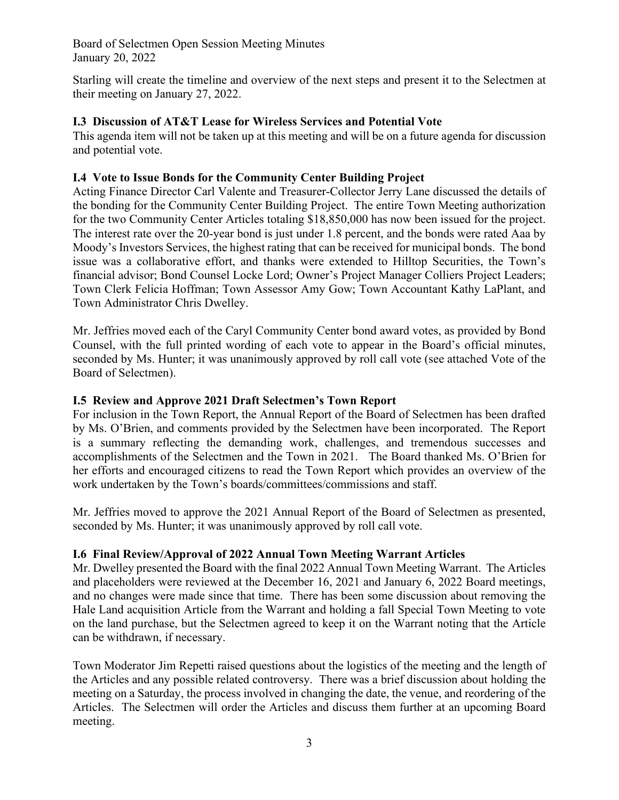Starling will create the timeline and overview of the next steps and present it to the Selectmen at their meeting on January 27, 2022.

### **I.3 Discussion of AT&T Lease for Wireless Services and Potential Vote**

This agenda item will not be taken up at this meeting and will be on a future agenda for discussion and potential vote.

### **I.4 Vote to Issue Bonds for the Community Center Building Project**

Acting Finance Director Carl Valente and Treasurer-Collector Jerry Lane discussed the details of the bonding for the Community Center Building Project. The entire Town Meeting authorization for the two Community Center Articles totaling \$18,850,000 has now been issued for the project. The interest rate over the 20-year bond is just under 1.8 percent, and the bonds were rated Aaa by Moody's Investors Services, the highest rating that can be received for municipal bonds. The bond issue was a collaborative effort, and thanks were extended to Hilltop Securities, the Town's financial advisor; Bond Counsel Locke Lord; Owner's Project Manager Colliers Project Leaders; Town Clerk Felicia Hoffman; Town Assessor Amy Gow; Town Accountant Kathy LaPlant, and Town Administrator Chris Dwelley.

Mr. Jeffries moved each of the Caryl Community Center bond award votes, as provided by Bond Counsel, with the full printed wording of each vote to appear in the Board's official minutes, seconded by Ms. Hunter; it was unanimously approved by roll call vote (see attached Vote of the Board of Selectmen).

#### **I.5 Review and Approve 2021 Draft Selectmen's Town Report**

For inclusion in the Town Report, the Annual Report of the Board of Selectmen has been drafted by Ms. O'Brien, and comments provided by the Selectmen have been incorporated. The Report is a summary reflecting the demanding work, challenges, and tremendous successes and accomplishments of the Selectmen and the Town in 2021. The Board thanked Ms. O'Brien for her efforts and encouraged citizens to read the Town Report which provides an overview of the work undertaken by the Town's boards/committees/commissions and staff.

Mr. Jeffries moved to approve the 2021 Annual Report of the Board of Selectmen as presented, seconded by Ms. Hunter; it was unanimously approved by roll call vote.

# **I.6 Final Review/Approval of 2022 Annual Town Meeting Warrant Articles**

Mr. Dwelley presented the Board with the final 2022 Annual Town Meeting Warrant. The Articles and placeholders were reviewed at the December 16, 2021 and January 6, 2022 Board meetings, and no changes were made since that time. There has been some discussion about removing the Hale Land acquisition Article from the Warrant and holding a fall Special Town Meeting to vote on the land purchase, but the Selectmen agreed to keep it on the Warrant noting that the Article can be withdrawn, if necessary.

Town Moderator Jim Repetti raised questions about the logistics of the meeting and the length of the Articles and any possible related controversy. There was a brief discussion about holding the meeting on a Saturday, the process involved in changing the date, the venue, and reordering of the Articles. The Selectmen will order the Articles and discuss them further at an upcoming Board meeting.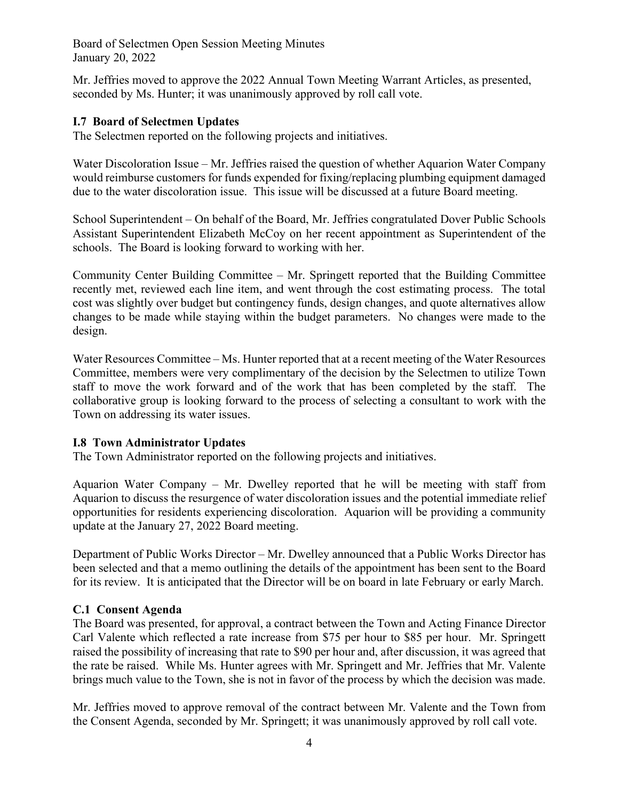Mr. Jeffries moved to approve the 2022 Annual Town Meeting Warrant Articles, as presented, seconded by Ms. Hunter; it was unanimously approved by roll call vote.

### **I.7 Board of Selectmen Updates**

The Selectmen reported on the following projects and initiatives.

Water Discoloration Issue – Mr. Jeffries raised the question of whether Aquarion Water Company would reimburse customers for funds expended for fixing/replacing plumbing equipment damaged due to the water discoloration issue. This issue will be discussed at a future Board meeting.

School Superintendent – On behalf of the Board, Mr. Jeffries congratulated Dover Public Schools Assistant Superintendent Elizabeth McCoy on her recent appointment as Superintendent of the schools. The Board is looking forward to working with her.

Community Center Building Committee – Mr. Springett reported that the Building Committee recently met, reviewed each line item, and went through the cost estimating process. The total cost was slightly over budget but contingency funds, design changes, and quote alternatives allow changes to be made while staying within the budget parameters. No changes were made to the design.

Water Resources Committee – Ms. Hunter reported that at a recent meeting of the Water Resources Committee, members were very complimentary of the decision by the Selectmen to utilize Town staff to move the work forward and of the work that has been completed by the staff. The collaborative group is looking forward to the process of selecting a consultant to work with the Town on addressing its water issues.

# **I.8 Town Administrator Updates**

The Town Administrator reported on the following projects and initiatives.

Aquarion Water Company – Mr. Dwelley reported that he will be meeting with staff from Aquarion to discuss the resurgence of water discoloration issues and the potential immediate relief opportunities for residents experiencing discoloration. Aquarion will be providing a community update at the January 27, 2022 Board meeting.

Department of Public Works Director – Mr. Dwelley announced that a Public Works Director has been selected and that a memo outlining the details of the appointment has been sent to the Board for its review. It is anticipated that the Director will be on board in late February or early March.

#### **C.1 Consent Agenda**

The Board was presented, for approval, a contract between the Town and Acting Finance Director Carl Valente which reflected a rate increase from \$75 per hour to \$85 per hour. Mr. Springett raised the possibility of increasing that rate to \$90 per hour and, after discussion, it was agreed that the rate be raised. While Ms. Hunter agrees with Mr. Springett and Mr. Jeffries that Mr. Valente brings much value to the Town, she is not in favor of the process by which the decision was made.

Mr. Jeffries moved to approve removal of the contract between Mr. Valente and the Town from the Consent Agenda, seconded by Mr. Springett; it was unanimously approved by roll call vote.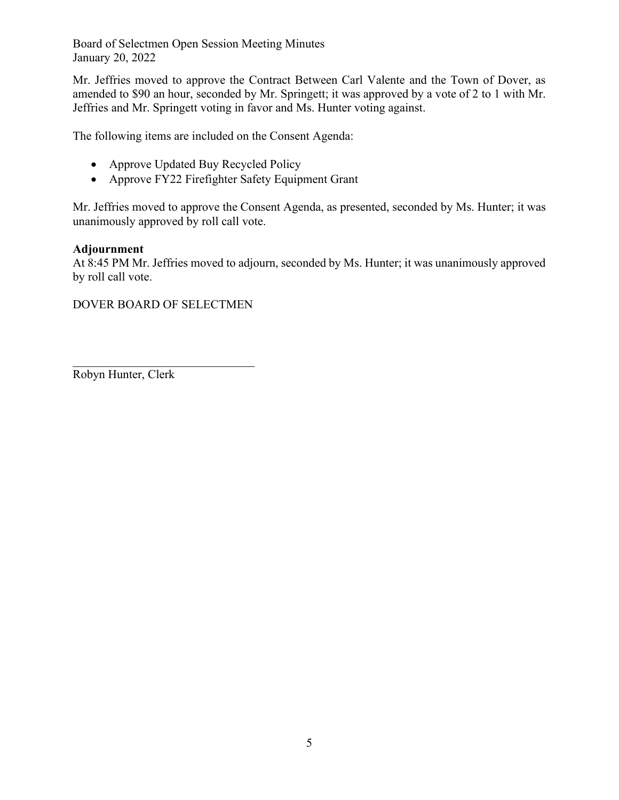Mr. Jeffries moved to approve the Contract Between Carl Valente and the Town of Dover, as amended to \$90 an hour, seconded by Mr. Springett; it was approved by a vote of 2 to 1 with Mr. Jeffries and Mr. Springett voting in favor and Ms. Hunter voting against.

The following items are included on the Consent Agenda:

- Approve Updated Buy Recycled Policy
- Approve FY22 Firefighter Safety Equipment Grant

Mr. Jeffries moved to approve the Consent Agenda, as presented, seconded by Ms. Hunter; it was unanimously approved by roll call vote.

# **Adjournment**

At 8:45 PM Mr. Jeffries moved to adjourn, seconded by Ms. Hunter; it was unanimously approved by roll call vote.

DOVER BOARD OF SELECTMEN

\_\_\_\_\_\_\_\_\_\_\_\_\_\_\_\_\_\_\_\_\_\_\_\_\_\_\_\_\_\_

Robyn Hunter, Clerk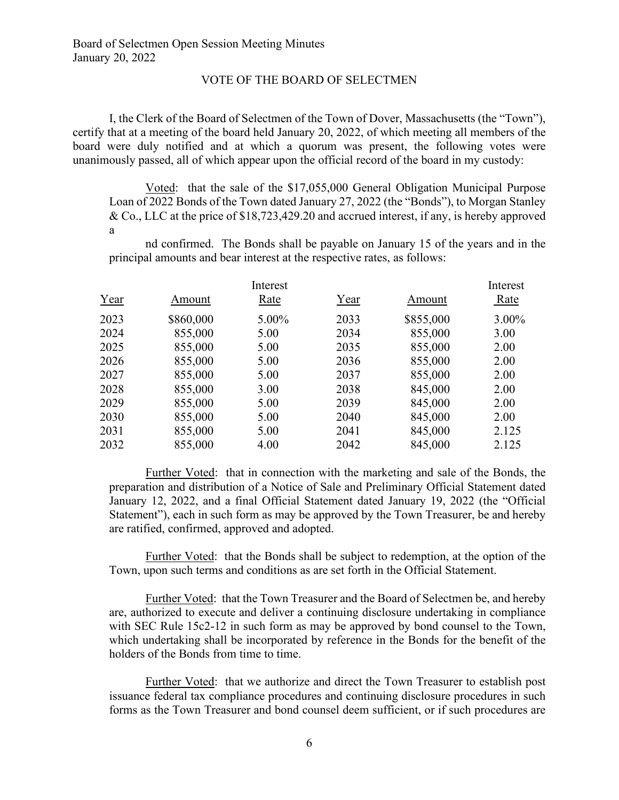#### VOTE OF THE BOARD OF SELECTMEN

I, the Clerk of the Board of Selectmen of the Town of Dover, Massachusetts (the "Town"), certify that at a meeting of the board held January 20, 2022, of which meeting all members of the board were duly notified and at which a quorum was present, the following votes were unanimously passed, all of which appear upon the official record of the board in my custody:

Voted: that the sale of the \$17,055,000 General Obligation Municipal Purpose Loan of 2022 Bonds of the Town dated January 27, 2022 (the "Bonds"), to Morgan Stanley & Co., LLC at the price of \$18,723,429.20 and accrued interest, if any, is hereby approved a

nd confirmed. The Bonds shall be payable on January 15 of the years and in the principal amounts and bear interest at the respective rates, as follows:

|      | Interest  |       |      |           | Interest |  |
|------|-----------|-------|------|-----------|----------|--|
| Year | Amount    | Rate  | Year | Amount    | Rate     |  |
| 2023 | \$860,000 | 5.00% | 2033 | \$855,000 | $3.00\%$ |  |
| 2024 | 855,000   | 5.00  | 2034 | 855,000   | 3.00     |  |
| 2025 | 855,000   | 5.00  | 2035 | 855,000   | 2.00     |  |
| 2026 | 855,000   | 5.00  | 2036 | 855,000   | 2.00     |  |
| 2027 | 855,000   | 5.00  | 2037 | 855,000   | 2.00     |  |
| 2028 | 855,000   | 3.00  | 2038 | 845,000   | 2.00     |  |
| 2029 | 855,000   | 5.00  | 2039 | 845,000   | 2.00     |  |
| 2030 | 855,000   | 5.00  | 2040 | 845,000   | 2.00     |  |
| 2031 | 855,000   | 5.00  | 2041 | 845,000   | 2.125    |  |
| 2032 | 855,000   | 4.00  | 2042 | 845,000   | 2.125    |  |
|      |           |       |      |           |          |  |

Further Voted: that in connection with the marketing and sale of the Bonds, the preparation and distribution of a Notice of Sale and Preliminary Official Statement dated January 12, 2022, and a final Official Statement dated January 19, 2022 (the "Official Statement"), each in such form as may be approved by the Town Treasurer, be and hereby are ratified, confirmed, approved and adopted.

Further Voted: that the Bonds shall be subject to redemption, at the option of the Town, upon such terms and conditions as are set forth in the Official Statement.

Further Voted: that the Town Treasurer and the Board of Selectmen be, and hereby are, authorized to execute and deliver a continuing disclosure undertaking in compliance with SEC Rule 15c2-12 in such form as may be approved by bond counsel to the Town, which undertaking shall be incorporated by reference in the Bonds for the benefit of the holders of the Bonds from time to time.

Further Voted: that we authorize and direct the Town Treasurer to establish post issuance federal tax compliance procedures and continuing disclosure procedures in such forms as the Town Treasurer and bond counsel deem sufficient, or if such procedures are